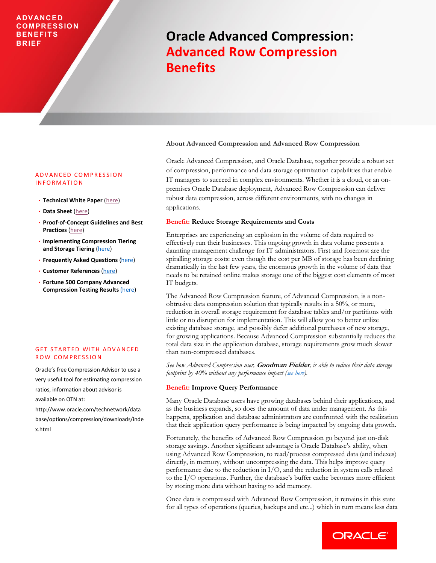### **ADVANCED COMPRESSIO N BENEF IT S**

## **BENEFITS CONSIDERED COMPRESSION: Advanced Row Compression Benefits**

### **About Advanced Compression and Advanced Row Compression**

### Oracle Advanced Compression, and Oracle Database, together provide a robust set of compression, performance and data storage optimization capabilities that enable IT managers to succeed in complex environments. Whether it is a cloud, or an onpremises Oracle Database deployment, Advanced Row Compression can deliver robust data compression, across different environments, with no changes in applications.

### **Benefit: Reduce Storage Requirements and Costs**

Enterprises are experiencing an explosion in the volume of data required to effectively run their businesses. This ongoing growth in data volume presents a daunting management challenge for IT administrators. First and foremost are the spiralling storage costs: even though the cost per MB of storage has been declining dramatically in the last few years, the enormous growth in the volume of data that needs to be retained online makes storage one of the biggest cost elements of most IT budgets.

The Advanced Row Compression feature, of Advanced Compression, is a nonobtrusive data compression solution that typically results in a 50%, or more, reduction in overall storage requirement for database tables and/or partitions with little or no disruption for implementation. This will allow you to better utilize existing database storage, and possibly defer additional purchases of new storage, for growing applications. Because Advanced Compression substantially reduces the total data size in the application database, storage requirements grow much slower than non-compressed databases.

*See how Advanced Compression user,* **Goodman Fielder***, is able to reduce their data storage footprint by 40% without any performance impact [\(see here\)](http://www.oracle.com/ocom/groups/public/@otn/documents/webcontent/092157.pdf).*

### **Benefit: Improve Query Performance**

Many Oracle Database users have growing databases behind their applications, and as the business expands, so does the amount of data under management. As this happens, application and database administrators are confronted with the realization that their application query performance is being impacted by ongoing data growth.

Fortunately, the benefits of Advanced Row Compression go beyond just on-disk storage savings. Another significant advantage is Oracle Database's ability, when using Advanced Row Compression, to read/process compressed data (and indexes) directly, in memory, without uncompressing the data. This helps improve query performance due to the reduction in I/O, and the reduction in system calls related to the I/O operations. Further, the database's buffer cache becomes more efficient by storing more data without having to add memory.

Once data is compressed with Advanced Row Compression, it remains in this state for all types of operations (queries, backups and etc...) which in turn means less data

# • **Proof-of-Concept Guidelines and Best**

• **Implementing Compression Tiering and Storage Tiering** [\(here\)](http://www.oracle.com/technetwork/database/focus-areas/performance/implementingilmdb12c-2543023.pdf)

- **Frequently Asked Questions** [\(here\)](http://www.oracle.com/ocom/groups/public/@otn/documents/webcontent/3861046.pdf)
- **Customer References** [\(here\)](http://www.oracle.com/technetwork/database/options/compression/learnmore/index.html)

A D V A N C E D COMPRESSION

• **Technical White Paper** [\(here\)](http://www.oracle.com/technetwork/database/options/compression/advanced-compression-wp-12c-1896128.pdf)

IN F O R M A T I O N

• **Data Sheet** [\(here\)](http://www.oracle.com/technetwork/database/options/compression/advanced-compression-datasheet-134474.pdf)

**Practices** [\(here\)](http://www.oracle.com/ocom/groups/public/@otn/documents/webcontent/3411538.pdf)

• **Fortune 500 Company Advanced Compression Testing Results** [\(here\)](http://www.oracle.com/ocom/groups/public/@otn/documents/webcontent/396808.pdf)

### **GET STARTED WITH ADVANCED** ROW COMPRESSION

Oracle's free Compression Advisor to use a very useful tool for estimating compression ratios, information about advisor is available on OTN at:

http://www.oracle.com/technetwork/data base/options/compression/downloads/inde x.html